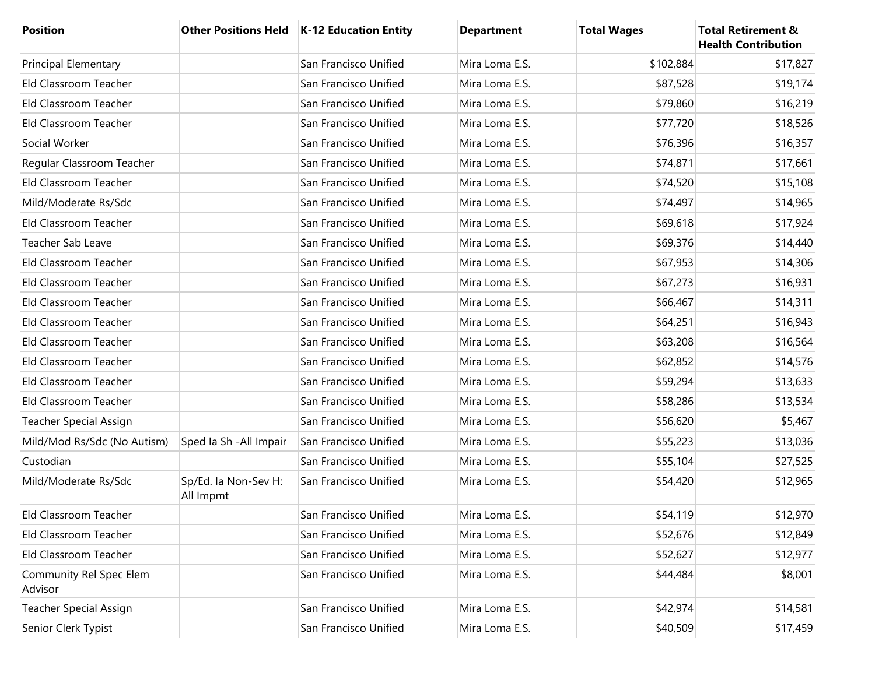| <b>Position</b>                    |                                   | Other Positions Held   K-12 Education Entity | <b>Department</b> | <b>Total Wages</b> | <b>Total Retirement &amp;</b><br><b>Health Contribution</b> |
|------------------------------------|-----------------------------------|----------------------------------------------|-------------------|--------------------|-------------------------------------------------------------|
| <b>Principal Elementary</b>        |                                   | San Francisco Unified                        | Mira Loma E.S.    | \$102,884          | \$17,827                                                    |
| Eld Classroom Teacher              |                                   | San Francisco Unified                        | Mira Loma E.S.    | \$87,528           | \$19,174                                                    |
| Eld Classroom Teacher              |                                   | San Francisco Unified                        | Mira Loma E.S.    | \$79,860           | \$16,219                                                    |
| Eld Classroom Teacher              |                                   | San Francisco Unified                        | Mira Loma E.S.    | \$77,720           | \$18,526                                                    |
| Social Worker                      |                                   | San Francisco Unified                        | Mira Loma E.S.    | \$76,396           | \$16,357                                                    |
| Regular Classroom Teacher          |                                   | San Francisco Unified                        | Mira Loma E.S.    | \$74,871           | \$17,661                                                    |
| Eld Classroom Teacher              |                                   | San Francisco Unified                        | Mira Loma E.S.    | \$74,520           | \$15,108                                                    |
| Mild/Moderate Rs/Sdc               |                                   | San Francisco Unified                        | Mira Loma E.S.    | \$74,497           | \$14,965                                                    |
| Eld Classroom Teacher              |                                   | San Francisco Unified                        | Mira Loma E.S.    | \$69,618           | \$17,924                                                    |
| Teacher Sab Leave                  |                                   | San Francisco Unified                        | Mira Loma E.S.    | \$69,376           | \$14,440                                                    |
| Eld Classroom Teacher              |                                   | San Francisco Unified                        | Mira Loma E.S.    | \$67,953           | \$14,306                                                    |
| Eld Classroom Teacher              |                                   | San Francisco Unified                        | Mira Loma E.S.    | \$67,273           | \$16,931                                                    |
| Eld Classroom Teacher              |                                   | San Francisco Unified                        | Mira Loma E.S.    | \$66,467           | \$14,311                                                    |
| Eld Classroom Teacher              |                                   | San Francisco Unified                        | Mira Loma E.S.    | \$64,251           | \$16,943                                                    |
| Eld Classroom Teacher              |                                   | San Francisco Unified                        | Mira Loma E.S.    | \$63,208           | \$16,564                                                    |
| Eld Classroom Teacher              |                                   | San Francisco Unified                        | Mira Loma E.S.    | \$62,852           | \$14,576                                                    |
| Eld Classroom Teacher              |                                   | San Francisco Unified                        | Mira Loma E.S.    | \$59,294           | \$13,633                                                    |
| Eld Classroom Teacher              |                                   | San Francisco Unified                        | Mira Loma E.S.    | \$58,286           | \$13,534                                                    |
| <b>Teacher Special Assign</b>      |                                   | San Francisco Unified                        | Mira Loma E.S.    | \$56,620           | \$5,467                                                     |
| Mild/Mod Rs/Sdc (No Autism)        | Sped Ia Sh - All Impair           | San Francisco Unified                        | Mira Loma E.S.    | \$55,223           | \$13,036                                                    |
| Custodian                          |                                   | San Francisco Unified                        | Mira Loma E.S.    | \$55,104           | \$27,525                                                    |
| Mild/Moderate Rs/Sdc               | Sp/Ed. la Non-Sev H:<br>All Impmt | San Francisco Unified                        | Mira Loma E.S.    | \$54,420           | \$12,965                                                    |
| Eld Classroom Teacher              |                                   | San Francisco Unified                        | Mira Loma E.S.    | \$54,119           | \$12,970                                                    |
| Eld Classroom Teacher              |                                   | San Francisco Unified                        | Mira Loma E.S.    | \$52,676           | \$12,849                                                    |
| Eld Classroom Teacher              |                                   | San Francisco Unified                        | Mira Loma E.S.    | \$52,627           | \$12,977                                                    |
| Community Rel Spec Elem<br>Advisor |                                   | San Francisco Unified                        | Mira Loma E.S.    | \$44,484           | \$8,001                                                     |
| Teacher Special Assign             |                                   | San Francisco Unified                        | Mira Loma E.S.    | \$42,974           | \$14,581                                                    |
| Senior Clerk Typist                |                                   | San Francisco Unified                        | Mira Loma E.S.    | \$40,509           | \$17,459                                                    |